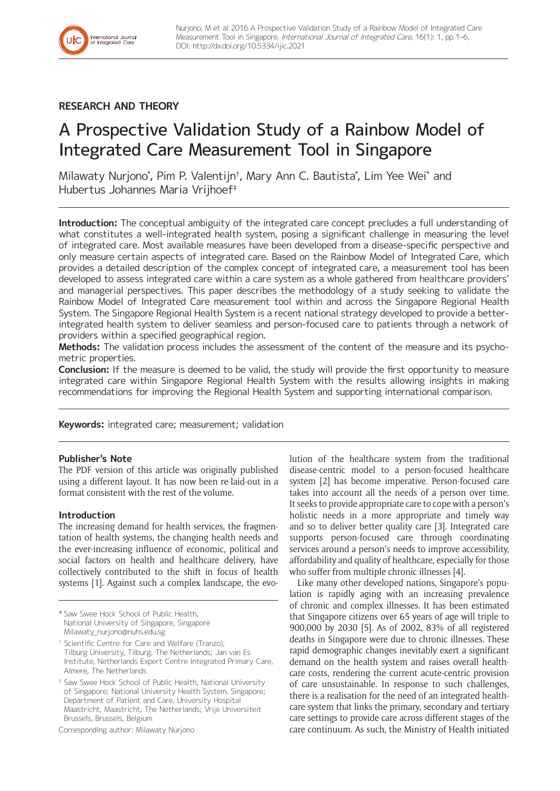

International Journal<br>of Integrated Care

# A Prospective Validation Study of a Rainbow Model of Integrated Care Measurement Tool in Singapore

Milawaty Nurjono\* , Pim P. Valentijn† , Mary Ann C. Bautista\* , Lim Yee Wei\* and Hubertus Johannes Maria Vrijhoef‡

**Introduction:** The conceptual ambiguity of the integrated care concept precludes a full understanding of what constitutes a well-integrated health system, posing a significant challenge in measuring the level of integrated care. Most available measures have been developed from a disease-specific perspective and only measure certain aspects of integrated care. Based on the Rainbow Model of Integrated Care, which provides a detailed description of the complex concept of integrated care, a measurement tool has been developed to assess integrated care within a care system as a whole gathered from healthcare providers' and managerial perspectives. This paper describes the methodology of a study seeking to validate the Rainbow Model of Integrated Care measurement tool within and across the Singapore Regional Health System. The Singapore Regional Health System is a recent national strategy developed to provide a betterintegrated health system to deliver seamless and person-focused care to patients through a network of providers within a specified geographical region.

**Methods:** The validation process includes the assessment of the content of the measure and its psychometric properties.

**Conclusion:** If the measure is deemed to be valid, the study will provide the first opportunity to measure integrated care within Singapore Regional Health System with the results allowing insights in making recommendations for improving the Regional Health System and supporting international comparison.

**Keywords:** integrated care; measurement; validation

# **Publisher's Note**

The PDF version of this article was originally published using a different layout. It has now been re-laid-out in a format consistent with the rest of the volume.

# **Introduction**

The increasing demand for health services, the fragmentation of health systems, the changing health needs and the ever-increasing influence of economic, political and social factors on health and healthcare delivery, have collectively contributed to the shift in focus of health systems [1]. Against such a complex landscape, the evo-

\* Saw Swee Hock School of Public Health, National University of Singapore, Singapore [Milawaty\\_nurjono@nuhs.edu.sg](mailto:Milawaty_nurjono@nuhs.edu.sg)

† Scientific Centre for Care and Welfare (Tranzo), Tilburg University, Tilburg, The Netherlands; Jan van Es Institute, Netherlands Expert Centre Integrated Primary Care, Almere, The Netherlands

‡ Saw Swee Hock School of Public Health, National University of Singapore; National University Health System, Singapore; Department of Patient and Care, University Hospital Maastricht, Maastricht, The Netherlands; Vrije Universiteit Brussels, Brussels, Belgium

Corresponding author: Milawaty Nurjono

lution of the healthcare system from the traditional disease-centric model to a person-focused healthcare system [2] has become imperative. Person-focused care takes into account all the needs of a person over time. It seeks to provide appropriate care to cope with a person's holistic needs in a more appropriate and timely way and so to deliver better quality care [3]. Integrated care supports person-focused care through coordinating services around a person's needs to improve accessibility, affordability and quality of healthcare, especially for those who suffer from multiple chronic illnesses [4].

Like many other developed nations, Singapore's population is rapidly aging with an increasing prevalence of chronic and complex illnesses. It has been estimated that Singapore citizens over 65 years of age will triple to 900,000 by 2030 [5]. As of 2002, 83% of all registered deaths in Singapore were due to chronic illnesses. These rapid demographic changes inevitably exert a significant demand on the health system and raises overall healthcare costs, rendering the current acute-centric provision of care unsustainable. In response to such challenges, there is a realisation for the need of an integrated healthcare system that links the primary, secondary and tertiary care settings to provide care across different stages of the care continuum. As such, the Ministry of Health initiated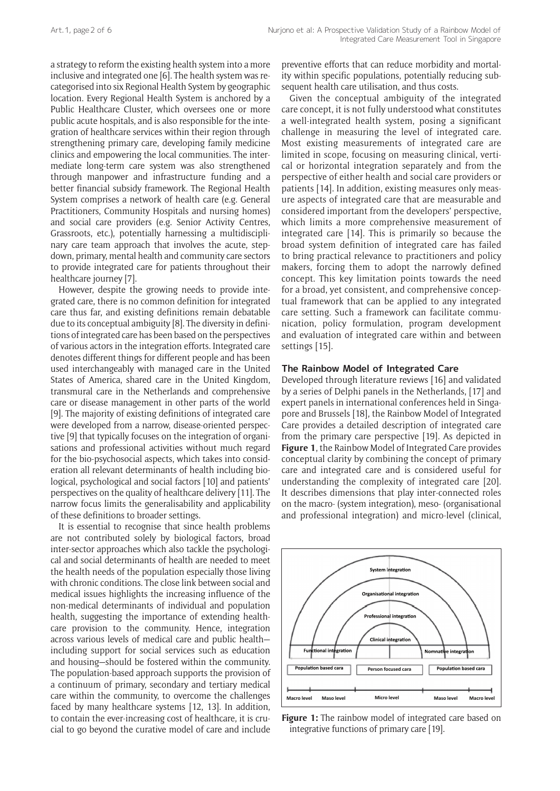a strategy to reform the existing health system into a more inclusive and integrated one [6]. The health system was recategorised into six Regional Health System by geographic location. Every Regional Health System is anchored by a Public Healthcare Cluster, which oversees one or more public acute hospitals, and is also responsible for the integration of healthcare services within their region through strengthening primary care, developing family medicine clinics and empowering the local communities. The intermediate long-term care system was also strengthened through manpower and infrastructure funding and a better financial subsidy framework. The Regional Health System comprises a network of health care (e.g. General Practitioners, Community Hospitals and nursing homes) and social care providers (e.g. Senior Activity Centres, Grassroots, etc.), potentially harnessing a multidisciplinary care team approach that involves the acute, stepdown, primary, mental health and community care sectors to provide integrated care for patients throughout their healthcare journey [7].

However, despite the growing needs to provide integrated care, there is no common definition for integrated care thus far, and existing definitions remain debatable due to its conceptual ambiguity [8]. The diversity in definitions of integrated care has been based on the perspectives of various actors in the integration efforts. Integrated care denotes different things for different people and has been used interchangeably with managed care in the United States of America, shared care in the United Kingdom, transmural care in the Netherlands and comprehensive care or disease management in other parts of the world [9]. The majority of existing definitions of integrated care were developed from a narrow, disease-oriented perspective [9] that typically focuses on the integration of organisations and professional activities without much regard for the bio-psychosocial aspects, which takes into consideration all relevant determinants of health including biological, psychological and social factors [10] and patients' perspectives on the quality of healthcare delivery [11]. The narrow focus limits the generalisability and applicability of these definitions to broader settings.

It is essential to recognise that since health problems are not contributed solely by biological factors, broad inter-sector approaches which also tackle the psychological and social determinants of health are needed to meet the health needs of the population especially those living with chronic conditions. The close link between social and medical issues highlights the increasing influence of the non-medical determinants of individual and population health, suggesting the importance of extending healthcare provision to the community. Hence, integration across various levels of medical care and public health including support for social services such as education and housing—should be fostered within the community. The population-based approach supports the provision of a continuum of primary, secondary and tertiary medical care within the community, to overcome the challenges faced by many healthcare systems [12, 13]. In addition, to contain the ever-increasing cost of healthcare, it is crucial to go beyond the curative model of care and include

preventive efforts that can reduce morbidity and mortality within specific populations, potentially reducing subsequent health care utilisation, and thus costs.

Given the conceptual ambiguity of the integrated care concept, it is not fully understood what constitutes a well-integrated health system, posing a significant challenge in measuring the level of integrated care. Most existing measurements of integrated care are limited in scope, focusing on measuring clinical, vertical or horizontal integration separately and from the perspective of either health and social care providers or patients [14]. In addition, existing measures only measure aspects of integrated care that are measurable and considered important from the developers' perspective, which limits a more comprehensive measurement of integrated care [14]. This is primarily so because the broad system definition of integrated care has failed to bring practical relevance to practitioners and policy makers, forcing them to adopt the narrowly defined concept. This key limitation points towards the need for a broad, yet consistent, and comprehensive conceptual framework that can be applied to any integrated care setting. Such a framework can facilitate communication, policy formulation, program development and evaluation of integrated care within and between settings [15].

# **The Rainbow Model of Integrated Care**

Developed through literature reviews [16] and validated by a series of Delphi panels in the Netherlands, [17] and expert panels in international conferences held in Singapore and Brussels [18], the Rainbow Model of Integrated Care provides a detailed description of integrated care from the primary care perspective [19]. As depicted in **Figure 1**, the Rainbow Model of Integrated Care provides conceptual clarity by combining the concept of primary care and integrated care and is considered useful for understanding the complexity of integrated care [20]. It describes dimensions that play inter-connected roles on the macro- (system integration), meso- (organisational and professional integration) and micro-level (clinical,



Figure 1: The rainbow model of integrated care based on integrative functions of primary care [19].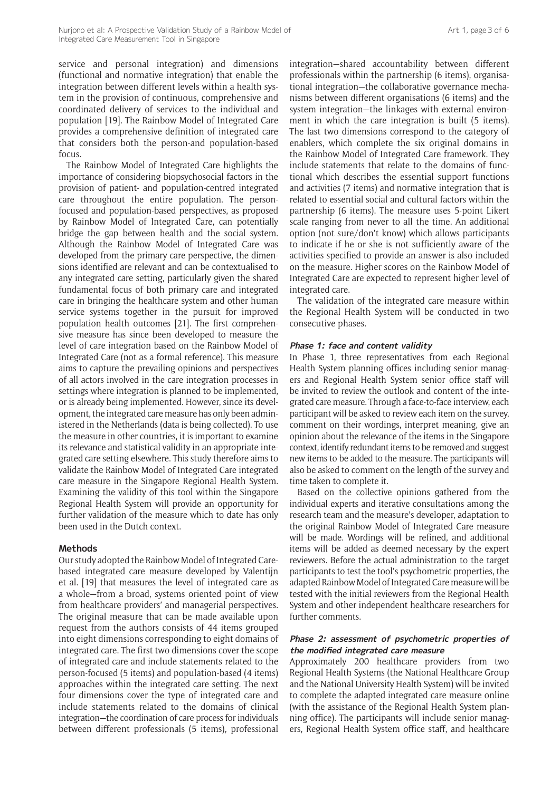service and personal integration) and dimensions (functional and normative integration) that enable the integration between different levels within a health system in the provision of continuous, comprehensive and coordinated delivery of services to the individual and population [19]. The Rainbow Model of Integrated Care provides a comprehensive definition of integrated care that considers both the person-and population-based focus.

The Rainbow Model of Integrated Care highlights the importance of considering biopsychosocial factors in the provision of patient- and population-centred integrated care throughout the entire population. The personfocused and population-based perspectives, as proposed by Rainbow Model of Integrated Care, can potentially bridge the gap between health and the social system. Although the Rainbow Model of Integrated Care was developed from the primary care perspective, the dimensions identified are relevant and can be contextualised to any integrated care setting, particularly given the shared fundamental focus of both primary care and integrated care in bringing the healthcare system and other human service systems together in the pursuit for improved population health outcomes [21]. The first comprehensive measure has since been developed to measure the level of care integration based on the Rainbow Model of Integrated Care (not as a formal reference). This measure aims to capture the prevailing opinions and perspectives of all actors involved in the care integration processes in settings where integration is planned to be implemented, or is already being implemented. However, since its development, the integrated care measure has only been administered in the Netherlands (data is being collected). To use the measure in other countries, it is important to examine its relevance and statistical validity in an appropriate integrated care setting elsewhere. This study therefore aims to validate the Rainbow Model of Integrated Care integrated care measure in the Singapore Regional Health System. Examining the validity of this tool within the Singapore Regional Health System will provide an opportunity for further validation of the measure which to date has only been used in the Dutch context.

#### **Methods**

Our study adopted the Rainbow Model of Integrated Carebased integrated care measure developed by Valentijn et al. [19] that measures the level of integrated care as a whole—from a broad, systems oriented point of view from healthcare providers' and managerial perspectives. The original measure that can be made available upon request from the authors consists of 44 items grouped into eight dimensions corresponding to eight domains of integrated care. The first two dimensions cover the scope of integrated care and include statements related to the person-focused (5 items) and population-based (4 items) approaches within the integrated care setting. The next four dimensions cover the type of integrated care and include statements related to the domains of clinical integration—the coordination of care process for individuals between different professionals (5 items), professional

integration—shared accountability between different professionals within the partnership (6 items), organisational integration—the collaborative governance mechanisms between different organisations (6 items) and the system integration—the linkages with external environment in which the care integration is built (5 items). The last two dimensions correspond to the category of enablers, which complete the six original domains in the Rainbow Model of Integrated Care framework. They include statements that relate to the domains of functional which describes the essential support functions and activities (7 items) and normative integration that is related to essential social and cultural factors within the partnership (6 items). The measure uses 5-point Likert scale ranging from never to all the time. An additional option (not sure/don't know) which allows participants to indicate if he or she is not sufficiently aware of the activities specified to provide an answer is also included on the measure. Higher scores on the Rainbow Model of Integrated Care are expected to represent higher level of integrated care.

The validation of the integrated care measure within the Regional Health System will be conducted in two consecutive phases.

#### **Phase 1: face and content validity**

In Phase 1, three representatives from each Regional Health System planning offices including senior managers and Regional Health System senior office staff will be invited to review the outlook and content of the integrated care measure. Through a face-to-face interview, each participant will be asked to review each item on the survey, comment on their wordings, interpret meaning, give an opinion about the relevance of the items in the Singapore context, identify redundant items to be removed and suggest new items to be added to the measure. The participants will also be asked to comment on the length of the survey and time taken to complete it.

Based on the collective opinions gathered from the individual experts and iterative consultations among the research team and the measure's developer, adaptation to the original Rainbow Model of Integrated Care measure will be made. Wordings will be refined, and additional items will be added as deemed necessary by the expert reviewers. Before the actual administration to the target participants to test the tool's psychometric properties, the adapted Rainbow Model of Integrated Care measure will be tested with the initial reviewers from the Regional Health System and other independent healthcare researchers for further comments.

#### **Phase 2: assessment of psychometric properties of the modified integrated care measure**

Approximately 200 healthcare providers from two Regional Health Systems (the National Healthcare Group and the National University Health System) will be invited to complete the adapted integrated care measure online (with the assistance of the Regional Health System planning office). The participants will include senior managers, Regional Health System office staff, and healthcare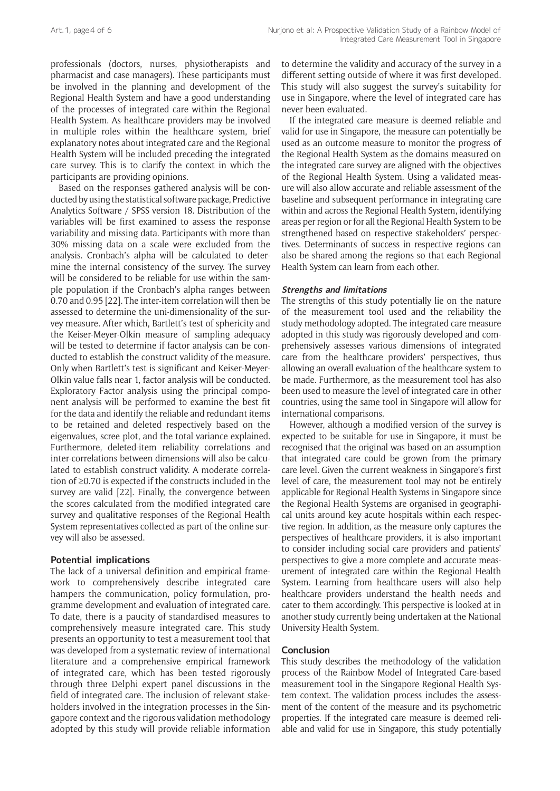professionals (doctors, nurses, physiotherapists and pharmacist and case managers). These participants must be involved in the planning and development of the Regional Health System and have a good understanding of the processes of integrated care within the Regional Health System. As healthcare providers may be involved in multiple roles within the healthcare system, brief explanatory notes about integrated care and the Regional Health System will be included preceding the integrated care survey. This is to clarify the context in which the participants are providing opinions.

Based on the responses gathered analysis will be conducted by using the statistical software package, Predictive Analytics Software / SPSS version 18. Distribution of the variables will be first examined to assess the response variability and missing data. Participants with more than 30% missing data on a scale were excluded from the analysis. Cronbach's alpha will be calculated to determine the internal consistency of the survey. The survey will be considered to be reliable for use within the sample population if the Cronbach's alpha ranges between 0.70 and 0.95 [22]. The inter-item correlation will then be assessed to determine the uni-dimensionality of the survey measure. After which, Bartlett's test of sphericity and the Keiser-Meyer-Olkin measure of sampling adequacy will be tested to determine if factor analysis can be conducted to establish the construct validity of the measure. Only when Bartlett's test is significant and Keiser-Meyer-Olkin value falls near 1, factor analysis will be conducted. Exploratory Factor analysis using the principal component analysis will be performed to examine the best fit for the data and identify the reliable and redundant items to be retained and deleted respectively based on the eigenvalues, scree plot, and the total variance explained. Furthermore, deleted-item reliability correlations and inter-correlations between dimensions will also be calculated to establish construct validity. A moderate correlation of ≥0.70 is expected if the constructs included in the survey are valid [22]. Finally, the convergence between the scores calculated from the modified integrated care survey and qualitative responses of the Regional Health System representatives collected as part of the online survey will also be assessed.

# **Potential implications**

The lack of a universal definition and empirical framework to comprehensively describe integrated care hampers the communication, policy formulation, programme development and evaluation of integrated care. To date, there is a paucity of standardised measures to comprehensively measure integrated care. This study presents an opportunity to test a measurement tool that was developed from a systematic review of international literature and a comprehensive empirical framework of integrated care, which has been tested rigorously through three Delphi expert panel discussions in the field of integrated care. The inclusion of relevant stakeholders involved in the integration processes in the Singapore context and the rigorous validation methodology adopted by this study will provide reliable information

to determine the validity and accuracy of the survey in a different setting outside of where it was first developed. This study will also suggest the survey's suitability for use in Singapore, where the level of integrated care has never been evaluated.

If the integrated care measure is deemed reliable and valid for use in Singapore, the measure can potentially be used as an outcome measure to monitor the progress of the Regional Health System as the domains measured on the integrated care survey are aligned with the objectives of the Regional Health System. Using a validated measure will also allow accurate and reliable assessment of the baseline and subsequent performance in integrating care within and across the Regional Health System, identifying areas per region or for all the Regional Health System to be strengthened based on respective stakeholders' perspectives. Determinants of success in respective regions can also be shared among the regions so that each Regional Health System can learn from each other.

#### **Strengths and limitations**

The strengths of this study potentially lie on the nature of the measurement tool used and the reliability the study methodology adopted. The integrated care measure adopted in this study was rigorously developed and comprehensively assesses various dimensions of integrated care from the healthcare providers' perspectives, thus allowing an overall evaluation of the healthcare system to be made. Furthermore, as the measurement tool has also been used to measure the level of integrated care in other countries, using the same tool in Singapore will allow for international comparisons.

However, although a modified version of the survey is expected to be suitable for use in Singapore, it must be recognised that the original was based on an assumption that integrated care could be grown from the primary care level. Given the current weakness in Singapore's first level of care, the measurement tool may not be entirely applicable for Regional Health Systems in Singapore since the Regional Health Systems are organised in geographical units around key acute hospitals within each respective region. In addition, as the measure only captures the perspectives of healthcare providers, it is also important to consider including social care providers and patients' perspectives to give a more complete and accurate measurement of integrated care within the Regional Health System. Learning from healthcare users will also help healthcare providers understand the health needs and cater to them accordingly. This perspective is looked at in another study currently being undertaken at the National University Health System.

# **Conclusion**

This study describes the methodology of the validation process of the Rainbow Model of Integrated Care-based measurement tool in the Singapore Regional Health System context. The validation process includes the assessment of the content of the measure and its psychometric properties. If the integrated care measure is deemed reliable and valid for use in Singapore, this study potentially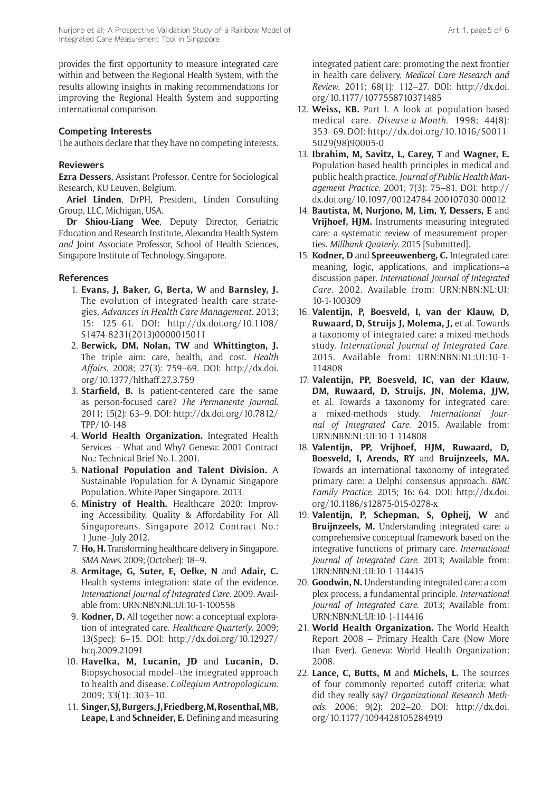provides the first opportunity to measure integrated care within and between the Regional Health System, with the results allowing insights in making recommendations for improving the Regional Health System and supporting international comparison.

#### **Competing Interests**

The authors declare that they have no competing interests.

#### **Reviewers**

**Ezra Dessers**, Assistant Professor, Centre for Sociological Research, KU Leuven, Belgium.

**Ariel Linden**, DrPH, President, Linden Consulting Group, LLC, Michigan, USA.

**Dr Shiou-Liang Wee**, Deputy Director, Geriatric Education and Research Institute, Alexandra Health System *and* Joint Associate Professor, School of Health Sciences, Singapore Institute of Technology, Singapore.

#### **References**

- 1. **Evans, J, Baker, G, Berta, W** and **Barnsley, J.** The evolution of integrated health care strategies. *Advances in Health Care Management*. 2013; 15: 125–61. DOI: [http://dx.doi.org/10.1108/](http://dx.doi.org/10.1108/S1474-8231(2013)0000015011) [S1474-8231\(2013\)0000015011](http://dx.doi.org/10.1108/S1474-8231(2013)0000015011)
- 2. **Berwick, DM, Nolan, TW** and **Whittington, J.** The triple aim: care, health, and cost. *Health Affairs*. 2008; 27(3): 759–69. DOI: [http://dx.doi.](http://dx.doi.org/10.1377/hlthaff.27.3.759) [org/10.1377/hlthaff.27.3.759](http://dx.doi.org/10.1377/hlthaff.27.3.759)
- 3. **Starfield, B.** Is patient-centered care the same as person-focused care? *The Permanente Journal*. 2011; 15(2): 63–9. DOI: [http://dx.doi.org/10.7812/](http://dx.doi.org/10.7812/TPP/10-148) [TPP/10-148](http://dx.doi.org/10.7812/TPP/10-148)
- 4. **World Health Organization.** Integrated Health Services – What and Why? Geneva: 2001 Contract No.: Technical Brief No.1. 2001.
- 5. **National Population and Talent Division.** A Sustainable Population for A Dynamic Singapore Population. White Paper Singapore. 2013.
- 6. **Ministry of Health.** Healthcare 2020: Improving Accessibility, Quality & Affordability For All Singaporeans. Singapore 2012 Contract No.: 1 June–July 2012.
- 7. **Ho, H.** Transforming healthcare delivery in Singapore. *SMA News*. 2009; (October): 18–9.
- 8. **Armitage, G, Suter, E, Oelke, N** and **Adair, C.** Health systems integration: state of the evidence. *International Journal of Integrated Care.* 2009. Available from:<URN:NBN:NL:UI:10-1-100558>
- 9. **Kodner, D.** All together now: a conceptual exploration of integrated care. *Healthcare Quarterly*. 2009; 13(Spec): 6–15. DOI: [http://dx.doi.org/10.12927/](http://dx.doi.org/10.12927/hcq.2009.21091) [hcq.2009.21091](http://dx.doi.org/10.12927/hcq.2009.21091)
- 10. **Havelka, M, Lucanin, JD** and **Lucanin, D.** Biopsychosocial model–the integrated approach to health and disease. *Collegium Antropologicum*. 2009; 33(1): 303–10.
- 11. **Singer, SJ, Burgers, J, Friedberg, M, Rosenthal, MB, Leape, L** and **Schneider, E.** Defining and measuring

integrated patient care: promoting the next frontier in health care delivery. *Medical Care Research and Review*. 2011; 68(1): 112–27. DOI: [http://dx.doi.](http://dx.doi.org/10.1177/1077558710371485) [org/10.1177/1077558710371485](http://dx.doi.org/10.1177/1077558710371485)

- 12. **Weiss, KB.** Part I. A look at population-based medical care. *Disease-a-Month*. 1998; 44(8): 353–69. DOI: [http://dx.doi.org/10.1016/S0011-](http://dx.doi.org/10.1016/S0011-5029(98)90005-0) [5029\(98\)90005-0](http://dx.doi.org/10.1016/S0011-5029(98)90005-0)
- 13. **Ibrahim, M, Savitz, L, Carey, T** and **Wagner, E.** Population-based health principles in medical and public health practice. *Journal of Public Health Management Practice*. 2001; 7(3): 75–81. DOI: [http://](http://dx.doi.org/10.1097/00124784-200107030-00012) [dx.doi.org/10.1097/00124784-200107030-00012](http://dx.doi.org/10.1097/00124784-200107030-00012)
- 14. **Bautista, M, Nurjono, M, Lim, Y, Dessers, E** and **Vrijhoef, HJM.** Instruments measuring integrated care: a systematic review of measurement properties. *Millbank Quaterly*. 2015 [Submitted].
- 15. **Kodner, D** and **Spreeuwenberg, C.** Integrated care: meaning, logic, applications, and implications–a discussion paper. *International Journal of Integrated Care*. 2002. Available from: [URN:NBN:NL:UI:](URN:NBN:NL:UI:10-1-100309) [10-1-100309](URN:NBN:NL:UI:10-1-100309)
- 16. **Valentijn, P, Boesveld, I, van der Klauw, D, Ruwaard, D, Struijs J, Molema, J,** et al. Towards a taxonomy of integrated care: a mixed-methods study. *International Journal of Integrated Care*. 2015. Available from: [URN:NBN:NL:UI:10-1-](URN:NBN:NL:UI:10-1-114808) [114808](URN:NBN:NL:UI:10-1-114808)
- 17. **Valentijn, PP, Boesveld, IC, van der Klauw, DM, Ruwaard, D, Struijs, JN, Molema, JJW,** et al. Towards a taxonomy for integrated care: a mixed-methods study. *International Journal of Integrated Care*. 2015. Available from: <URN:NBN:NL:UI:10-1-114808>
- 18. **Valentijn, PP, Vrijhoef, HJM, Ruwaard, D, Boesveld, I, Arends, RY** and **Bruijnzeels, MA.** Towards an international taxonomy of integrated primary care: a Delphi consensus approach. *BMC Family Practice*. 2015; 16: 64. DOI: [http://dx.doi.](http://dx.doi.org/10.1186/s12875-015-0278-x) [org/10.1186/s12875-015-0278-x](http://dx.doi.org/10.1186/s12875-015-0278-x)
- 19. **Valentijn, P, Schepman, S, Opheij, W** and **Bruijnzeels, M.** Understanding integrated care: a comprehensive conceptual framework based on the integrative functions of primary care. *International Journal of Integrated Care*. 2013; Available from: <URN:NBN:NL:UI:10-1-114415>
- 20. **Goodwin, N.** Understanding integrated care: a complex process, a fundamental principle. *International Journal of Integrated Care*. 2013; Available from: <URN:NBN:NL:UI:10-1-114416>
- 21. **World Health Organization.** The World Health Report 2008 – Primary Health Care (Now More than Ever). Geneva: World Health Organization; 2008.
- 22. **Lance, C, Butts, M** and **Michels, L.** The sources of four commonly reported cutoff criteria: what did they really say? *Organizational Research Methods*. 2006; 9(2): 202–20. DOI: [http://dx.doi.](http://dx.doi.org/10.1177/1094428105284919) [org/10.1177/1094428105284919](http://dx.doi.org/10.1177/1094428105284919)